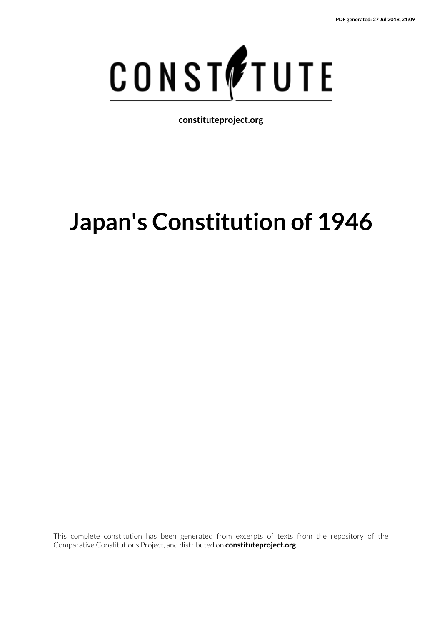

**constituteproject.org**

# **Japan's Constitution of 1946**

This complete constitution has been generated from excerpts of texts from the repository of the Comparative Constitutions Project, and distributed on **constituteproject.org**.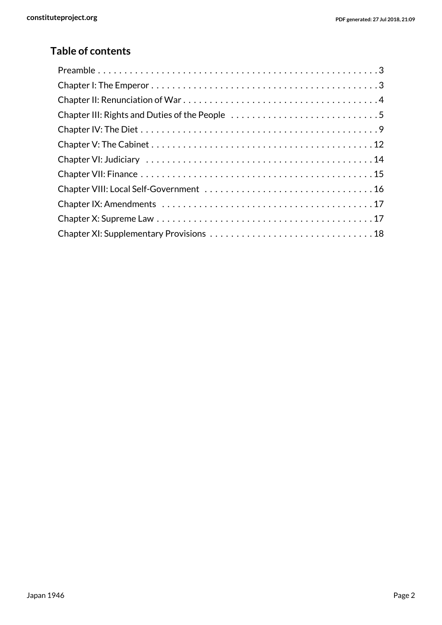# **Table of contents**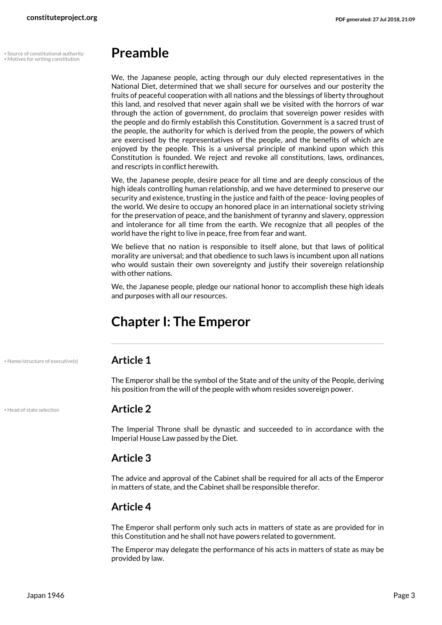• • Source of constitutional authority

# <span id="page-2-5"></span><span id="page-2-3"></span><span id="page-2-0"></span>**Preamble**

We, the Japanese people, acting through our duly elected representatives in the National Diet, determined that we shall secure for ourselves and our posterity the fruits of peaceful cooperation with all nations and the blessings of liberty throughout this land, and resolved that never again shall we be visited with the horrors of war through the action of government, do proclaim that sovereign power resides with the people and do firmly establish this Constitution. Government is a sacred trust of the people, the authority for which is derived from the people, the powers of which are exercised by the representatives of the people, and the benefits of which are enjoyed by the people. This is a universal principle of mankind upon which this Constitution is founded. We reject and revoke all constitutions, laws, ordinances, and rescripts in conflict herewith.

We, the Japanese people, desire peace for all time and are deeply conscious of the high ideals controlling human relationship, and we have determined to preserve our security and existence, trusting in the justice and faith of the peace- loving peoples of the world. We desire to occupy an honored place in an international society striving for the preservation of peace, and the banishment of tyranny and slavery, oppression and intolerance for all time from the earth. We recognize that all peoples of the world have the right to live in peace, free from fear and want.

We believe that no nation is responsible to itself alone, but that laws of political morality are universal; and that obedience to such laws is incumbent upon all nations who would sustain their own sovereignty and justify their sovereign relationship with other nations.

We, the Japanese people, pledge our national honor to accomplish these high ideals and purposes with all our resources.

# <span id="page-2-1"></span>**Chapter I: The Emperor**

• Name/structure of executive(s) **Article 1**

<span id="page-2-4"></span>The Emperor shall be the symbol of the State and of the unity of the People, deriving his position from the will of the people with whom resides sovereign power.

<span id="page-2-2"></span>• Head of state selection **Article 2**

The Imperial Throne shall be dynastic and succeeded to in accordance with the Imperial House Law passed by the Diet.

#### **Article 3**

The advice and approval of the Cabinet shall be required for all acts of the Emperor in matters of state, and the Cabinet shall be responsible therefor.

#### **Article 4**

The Emperor shall perform only such acts in matters of state as are provided for in this Constitution and he shall not have powers related to government.

The Emperor may delegate the performance of his acts in matters of state as may be provided by law.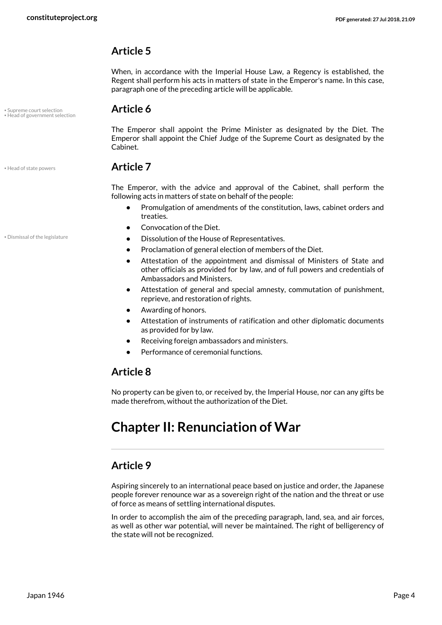When, in accordance with the Imperial House Law, a Regency is established, the Regent shall perform his acts in matters of state in the Emperor's name. In this case, paragraph one of the preceding article will be applicable.

• Supreme court selection **Article 6** • Head of government selection

<span id="page-3-4"></span><span id="page-3-2"></span>The Emperor shall appoint the Prime Minister as designated by the Diet. The Emperor shall appoint the Chief Judge of the Supreme Court as designated by the Cabinet.

#### <span id="page-3-3"></span>• Head of state powers **Article 7**

The Emperor, with the advice and approval of the Cabinet, shall perform the following acts in matters of state on behalf of the people:

- **•** Promulgation of amendments of the constitution, laws, cabinet orders and treaties.
- <span id="page-3-1"></span>**•** Convocation of the Diet.
- Dismissal of the legislature  **Dissolution of the House of Representatives.** 
	- **•** Proclamation of general election of members of the Diet.
	- **•** Attestation of the appointment and dismissal of Ministers of State and other officials as provided for by law, and of full powers and credentials of Ambassadors and Ministers.
	- **•** Attestation of general and special amnesty, commutation of punishment, reprieve, and restoration of rights.
	- **•** Awarding of honors.
	- **•** Attestation of instruments of ratification and other diplomatic documents as provided for by law.
	- **•** Receiving foreign ambassadors and ministers.
	- **•** Performance of ceremonial functions.

### **Article 8**

No property can be given to, or received by, the Imperial House, nor can any gifts be made therefrom, without the authorization of the Diet.

# <span id="page-3-0"></span>**Chapter II: Renunciation of War**

#### **Article 9**

Aspiring sincerely to an international peace based on justice and order, the Japanese people forever renounce war as a sovereign right of the nation and the threat or use of force as means of settling international disputes.

In order to accomplish the aim of the preceding paragraph, land, sea, and air forces, as well as other war potential, will never be maintained. The right of belligerency of the state will not be recognized.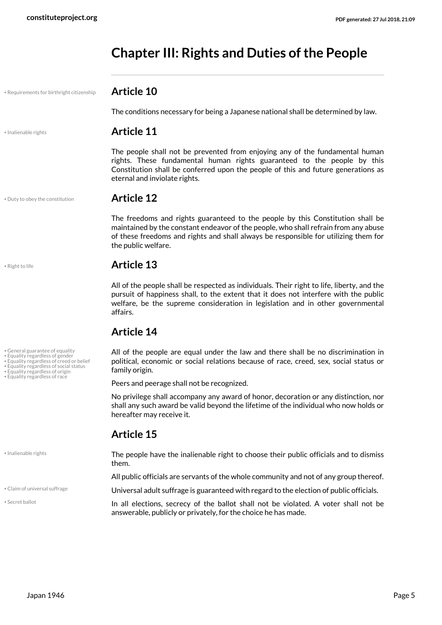# <span id="page-4-0"></span>**Chapter III: Rights and Duties of the People**

### • Requirements for birthright citizenship **Article 10**

<span id="page-4-10"></span>The conditions necessary for being a Japanese national shall be determined by law.

#### • Inalienable rights **Article 11**

The people shall not be prevented from enjoying any of the fundamental human rights. These fundamental human rights guaranteed to the people by this Constitution shall be conferred upon the people of this and future generations as eternal and inviolate rights.

• Duty to obey the constitution **Article 12**

- General guarantee of equality Equality regardless of gender Equality regardless of creed or belief
- 
- Equality regardless of social status
- Equality regardless of race
- Equality regardless of origin

<span id="page-4-9"></span>• Inalienable rights

<span id="page-4-12"></span>• Secret ballot

<span id="page-4-2"></span>The freedoms and rights guaranteed to the people by this Constitution shall be maintained by the constant endeavor of the people, who shall refrain from any abuse of these freedoms and rights and shall always be responsible for utilizing them for the public welfare.

#### <span id="page-4-11"></span>• Right to life **Article 13**

All of the people shall be respected as individuals. Their right to life, liberty, and the pursuit of happiness shall, to the extent that it does not interfere with the public welfare, be the supreme consideration in legislation and in other governmental affairs.

#### **Article 14**

<span id="page-4-8"></span><span id="page-4-7"></span><span id="page-4-4"></span><span id="page-4-3"></span>All of the people are equal under the law and there shall be no discrimination in political, economic or social relations because of race, creed, sex, social status or family origin.

<span id="page-4-6"></span><span id="page-4-5"></span>Peers and peerage shall not be recognized.

No privilege shall accompany any award of honor, decoration or any distinction, nor shall any such award be valid beyond the lifetime of the individual who now holds or hereafter may receive it.

#### **Article 15**

The people have the inalienable right to choose their public officials and to dismiss them.

All public officials are servants of the whole community and not of any group thereof.

• Claim of universal suffrage **in the claim** of universal adult suffrage is guaranteed with regard to the election of public officials.

<span id="page-4-1"></span>In all elections, secrecy of the ballot shall not be violated. A voter shall not be answerable, publicly or privately, for the choice he has made.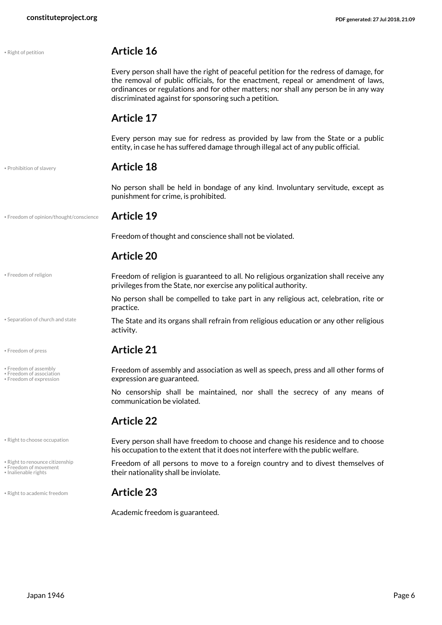<span id="page-5-13"></span><span id="page-5-12"></span><span id="page-5-11"></span><span id="page-5-10"></span><span id="page-5-9"></span><span id="page-5-8"></span><span id="page-5-7"></span><span id="page-5-6"></span><span id="page-5-5"></span><span id="page-5-4"></span><span id="page-5-3"></span><span id="page-5-2"></span><span id="page-5-1"></span><span id="page-5-0"></span>

| · Right of petition                                                              | <b>Article 16</b>                                                                                                                                                                                                                                                                                                         |
|----------------------------------------------------------------------------------|---------------------------------------------------------------------------------------------------------------------------------------------------------------------------------------------------------------------------------------------------------------------------------------------------------------------------|
|                                                                                  | Every person shall have the right of peaceful petition for the redress of damage, for<br>the removal of public officials, for the enactment, repeal or amendment of laws,<br>ordinances or regulations and for other matters; nor shall any person be in any way<br>discriminated against for sponsoring such a petition. |
|                                                                                  | <b>Article 17</b>                                                                                                                                                                                                                                                                                                         |
|                                                                                  | Every person may sue for redress as provided by law from the State or a public<br>entity, in case he has suffered damage through illegal act of any public official.                                                                                                                                                      |
| · Prohibition of slavery                                                         | <b>Article 18</b>                                                                                                                                                                                                                                                                                                         |
|                                                                                  | No person shall be held in bondage of any kind. Involuntary servitude, except as<br>punishment for crime, is prohibited.                                                                                                                                                                                                  |
| · Freedom of opinion/thought/conscience                                          | <b>Article 19</b>                                                                                                                                                                                                                                                                                                         |
|                                                                                  | Freedom of thought and conscience shall not be violated.                                                                                                                                                                                                                                                                  |
|                                                                                  | <b>Article 20</b>                                                                                                                                                                                                                                                                                                         |
| · Freedom of religion                                                            | Freedom of religion is guaranteed to all. No religious organization shall receive any<br>privileges from the State, nor exercise any political authority.                                                                                                                                                                 |
|                                                                                  | No person shall be compelled to take part in any religious act, celebration, rite or<br>practice.                                                                                                                                                                                                                         |
| · Separation of church and state                                                 | The State and its organs shall refrain from religious education or any other religious<br>activity.                                                                                                                                                                                                                       |
| • Freedom of press                                                               | <b>Article 21</b>                                                                                                                                                                                                                                                                                                         |
| · Freedom of assembly<br>• Freedom of association<br>• Freedom of expression     | Freedom of assembly and association as well as speech, press and all other forms of<br>expression are guaranteed.                                                                                                                                                                                                         |
|                                                                                  | No censorship shall be maintained, nor shall the secrecy of any means of<br>communication be violated.                                                                                                                                                                                                                    |
|                                                                                  | <b>Article 22</b>                                                                                                                                                                                                                                                                                                         |
| • Right to choose occupation                                                     | Every person shall have freedom to choose and change his residence and to choose<br>his occupation to the extent that it does not interfere with the public welfare.                                                                                                                                                      |
| • Right to renounce citizenship<br>• Freedom of movement<br>• Inalienable rights | Freedom of all persons to move to a foreign country and to divest themselves of<br>their nationality shall be inviolate.                                                                                                                                                                                                  |
| • Right to academic freedom                                                      | <b>Article 23</b>                                                                                                                                                                                                                                                                                                         |
|                                                                                  | Academic freedom is guaranteed.                                                                                                                                                                                                                                                                                           |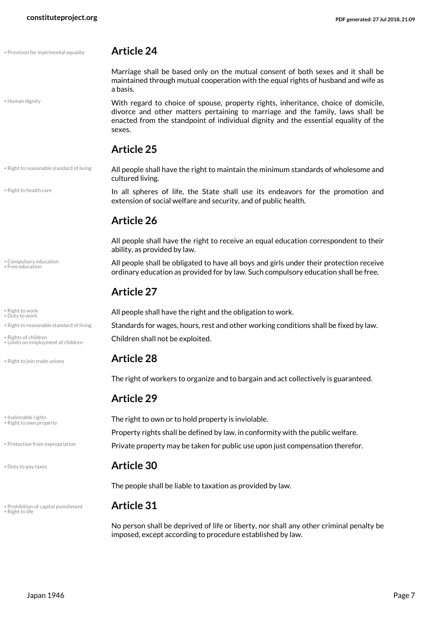• Provision for matrimonial equality **Article 24**

<span id="page-6-9"></span>Marriage shall be based only on the mutual consent of both sexes and it shall be maintained through mutual cooperation with the equal rights of husband and wife as a basis.

With regard to choice of spouse, property rights, inheritance, choice of domicile, divorce and other matters pertaining to marriage and the family, laws shall be enacted from the standpoint of individual dignity and the essential equality of the sexes.

#### **Article 25**

• Right to reasonable standard of living

• Right to health care

<span id="page-6-4"></span>• Human dignity

<span id="page-6-3"></span>• Compulsory education • Free education

<span id="page-6-15"></span>• Duty to work

<span id="page-6-2"></span>

• Limits on employment of children

<span id="page-6-13"></span>• Right to own property

<span id="page-6-1"></span>

<span id="page-6-12"></span>• Prohibition of capital punishment **Article 31** • Right to life

<span id="page-6-10"></span>All people shall have the right to maintain the minimum standards of wholesome and cultured living.

> In all spheres of life, the State shall use its endeavors for the promotion and extension of social welfare and security, and of public health.

### **Article 26**

All people shall have the right to receive an equal education correspondent to their ability, as provided by law.

<span id="page-6-0"></span>All people shall be obligated to have all boys and girls under their protection receive ordinary education as provided for by law. Such compulsory education shall be free.

### <span id="page-6-14"></span>**Article 27**

• Right to work **All people shall have the right and the obligation to work.** • Right to work.

• Right to reasonable standard of living **Standards for wages, hours, rest and other working conditions shall be fixed by law.** 

<span id="page-6-16"></span>• Rights of children shall not be exploited.

#### • Right to join trade unions **Article 28**

<span id="page-6-11"></span><span id="page-6-6"></span>The right of workers to organize and to bargain and act collectively is guaranteed.

### **Article 29**

<span id="page-6-5"></span>• Inalienable rights **The right to own or to hold property is inviolable.** Property rights shall be defined by law, in conformity with the public welfare. . Protection from expropriation **Private property may be taken for public use upon just compensation therefor.** 

#### • Duty to pay taxes **Article 30**

<span id="page-6-8"></span>The people shall be liable to taxation as provided by law.

<span id="page-6-7"></span>No person shall be deprived of life or liberty, nor shall any other criminal penalty be imposed, except according to procedure established by law.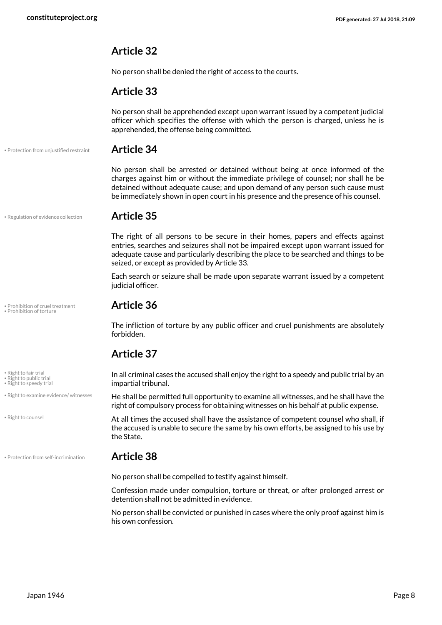No person shall be denied the right of access to the courts.

#### **Article 33**

No person shall be apprehended except upon warrant issued by a competent judicial officer which specifies the offense with which the person is charged, unless he is apprehended, the offense being committed.

• Protection from unjustified restraint **Article 34**

<span id="page-7-3"></span>No person shall be arrested or detained without being at once informed of the charges against him or without the immediate privilege of counsel; nor shall he be detained without adequate cause; and upon demand of any person such cause must be immediately shown in open court in his presence and the presence of his counsel.

<span id="page-7-4"></span>The right of all persons to be secure in their homes, papers and effects against entries, searches and seizures shall not be impaired except upon warrant issued for adequate cause and particularly describing the place to be searched and things to be

Each search or seizure shall be made upon separate warrant issued by a competent

• Regulation of evidence collection **Article 35**

# • Prohibition of cruel treatment **Article 36** • Prohibition of torture

<span id="page-7-1"></span>

<span id="page-7-7"></span>• Right to fair trial

<span id="page-7-9"></span><span id="page-7-8"></span>• Right to public trial • Right to speedy trial

• Right to examine evidence/ witnesses

<span id="page-7-5"></span>• Right to counsel

• Protection from self-incrimination **Article 38**

judicial officer.

seized, or except as provided by Article 33.

<span id="page-7-0"></span>The infliction of torture by any public officer and cruel punishments are absolutely forbidden.

### **Article 37**

In all criminal cases the accused shall enjoy the right to a speedy and public trial by an impartial tribunal.

<span id="page-7-6"></span>He shall be permitted full opportunity to examine all witnesses, and he shall have the right of compulsory process for obtaining witnesses on his behalf at public expense.

At all times the accused shall have the assistance of competent counsel who shall, if the accused is unable to secure the same by his own efforts, be assigned to his use by the State.

<span id="page-7-2"></span>No person shall be compelled to testify against himself.

Confession made under compulsion, torture or threat, or after prolonged arrest or detention shall not be admitted in evidence.

No person shall be convicted or punished in cases where the only proof against him is his own confession.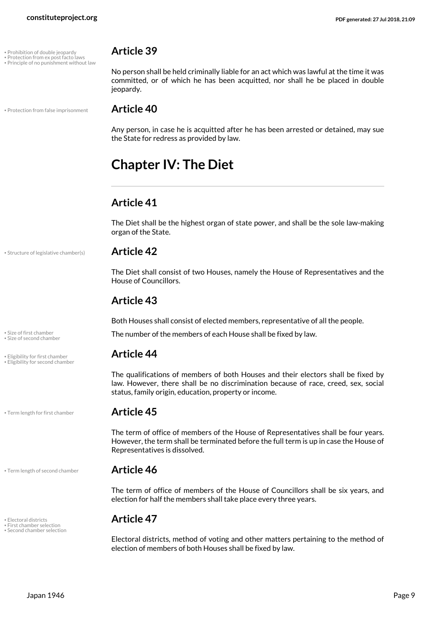- 
- Prohibition of double jeopardy **Article 39**<br>• Protection from ex post facto laws<br>• Principle of no punishment without law

<span id="page-8-7"></span><span id="page-8-6"></span><span id="page-8-5"></span>No person shall be held criminally liable for an act which was lawful at the time it was committed, or of which he has been acquitted, nor shall he be placed in double jeopardy.

#### • Protection from false imprisonment **Article 40**

<span id="page-8-8"></span>Any person, in case he is acquitted after he has been arrested or detained, may sue the State for redress as provided by law.

# <span id="page-8-0"></span>**Chapter IV: The Diet**

### **Article 41**

The Diet shall be the highest organ of state power, and shall be the sole law-making organ of the State.

#### • Structure of legislative chamber(s) **Article 42**

<span id="page-8-12"></span>The Diet shall consist of two Houses, namely the House of Representatives and the House of Councillors.

### **Article 43**

Both Houses shall consist of elected members, representative of all the people.

<span id="page-8-11"></span><span id="page-8-10"></span>Size of first chamber<br>Size of first chamber<br>Size of first chamber

#### • Eligibility for first chamber **Article 44**

<span id="page-8-3"></span><span id="page-8-2"></span>The qualifications of members of both Houses and their electors shall be fixed by law. However, there shall be no discrimination because of race, creed, sex, social status, family origin, education, property or income.

<span id="page-8-13"></span>The term of office of members of the House of Representatives shall be four years. However, the term shall be terminated before the full term is up in case the House of Representatives is dissolved.

#### • Term length of second chamber **Article 46**

<span id="page-8-14"></span>The term of office of members of the House of Councillors shall be six years, and election for half the members shall take place every three years.

<span id="page-8-9"></span><span id="page-8-4"></span>Electoral districts, method of voting and other matters pertaining to the method of election of members of both Houses shall be fixed by law.

• Size of second chamber

• Eligibility for second chamber

• Term length for first chamber **Article 45**

<span id="page-8-1"></span>• Electoral districts **Article 47** • First chamber selection • Second chamber selection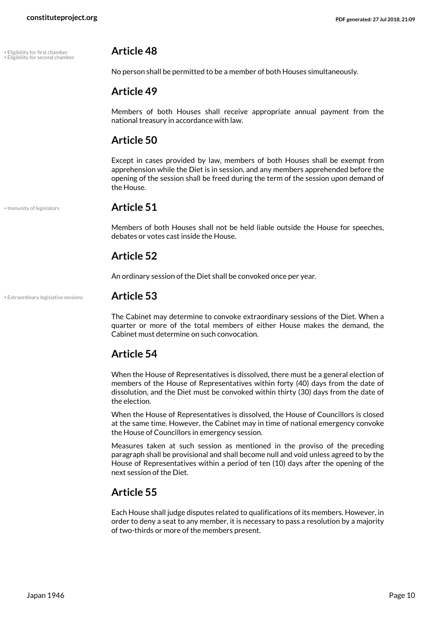• Eligibility for first chamber **Article 48** • Eligibility for second chamber

<span id="page-9-1"></span><span id="page-9-0"></span>No person shall be permitted to be a member of both Houses simultaneously.

#### **Article 49**

Members of both Houses shall receive appropriate annual payment from the national treasury in accordance with law.

#### **Article 50**

Except in cases provided by law, members of both Houses shall be exempt from apprehension while the Diet is in session, and any members apprehended before the opening of the session shall be freed during the term of the session upon demand of the House.

<span id="page-9-3"></span>

#### • Immunity of legislators **Article 51**

Members of both Houses shall not be held liable outside the House for speeches, debates or votes cast inside the House.

#### **Article 52**

An ordinary session of the Diet shall be convoked once per year.

• Extraordinary legislative sessions **Article 53**

<span id="page-9-2"></span>The Cabinet may determine to convoke extraordinary sessions of the Diet. When a quarter or more of the total members of either House makes the demand, the Cabinet must determine on such convocation.

#### **Article 54**

When the House of Representatives is dissolved, there must be a general election of members of the House of Representatives within forty (40) days from the date of dissolution, and the Diet must be convoked within thirty (30) days from the date of the election.

When the House of Representatives is dissolved, the House of Councillors is closed at the same time. However, the Cabinet may in time of national emergency convoke the House of Councillors in emergency session.

Measures taken at such session as mentioned in the proviso of the preceding paragraph shall be provisional and shall become null and void unless agreed to by the House of Representatives within a period of ten (10) days after the opening of the next session of the Diet.

#### **Article 55**

Each House shall judge disputes related to qualifications of its members. However, in order to deny a seat to any member, it is necessary to pass a resolution by a majority of two-thirds or more of the members present.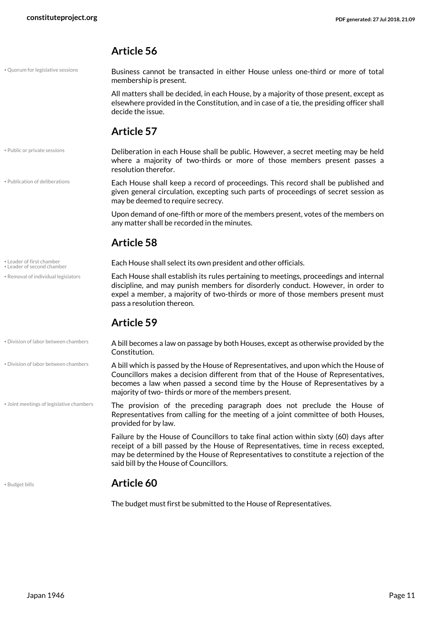• Quorum for legislative sessions

<span id="page-10-7"></span>Business cannot be transacted in either House unless one-third or more of total membership is present.

All matters shall be decided, in each House, by a majority of those present, except as elsewhere provided in the Constitution, and in case of a tie, the presiding officer shall decide the issue.

#### **Article 57**

• Public or private sessions

• Publication of deliberations

<span id="page-10-5"></span>Deliberation in each House shall be public. However, a secret meeting may be held where a majority of two-thirds or more of those members present passes a resolution therefor.

<span id="page-10-6"></span>Each House shall keep a record of proceedings. This record shall be published and given general circulation, excepting such parts of proceedings of secret session as may be deemed to require secrecy.

Upon demand of one-fifth or more of the members present, votes of the members on any matter shall be recorded in the minutes.

### **Article 58**

• Leader of second chamber

• Removal of individual legislators

• Division of labor between chambers

• Leader of first chamber<br>• Leader of first chamber<br>• Leader of forced chamber

<span id="page-10-8"></span><span id="page-10-4"></span><span id="page-10-3"></span>Each House shall establish its rules pertaining to meetings, proceedings and internal discipline, and may punish members for disorderly conduct. However, in order to expel a member, a majority of two-thirds or more of those members present must pass a resolution thereon.

#### **Article 59**

A bill becomes a law on passage by both Houses, except as otherwise provided by the Constitution. • Division of labor between chambers

> <span id="page-10-1"></span>A bill which is passed by the House of Representatives, and upon which the House of Councillors makes a decision different from that of the House of Representatives, becomes a law when passed a second time by the House of Representatives by a majority of two- thirds or more of the members present.

The provision of the preceding paragraph does not preclude the House of Representatives from calling for the meeting of a joint committee of both Houses, provided for by law. • Joint meetings of legislative chambers

> <span id="page-10-2"></span>Failure by the House of Councillors to take final action within sixty (60) days after receipt of a bill passed by the House of Representatives, time in recess excepted, may be determined by the House of Representatives to constitute a rejection of the said bill by the House of Councillors.

#### <span id="page-10-0"></span>• Budget bills **Article 60**

The budget must first be submitted to the House of Representatives.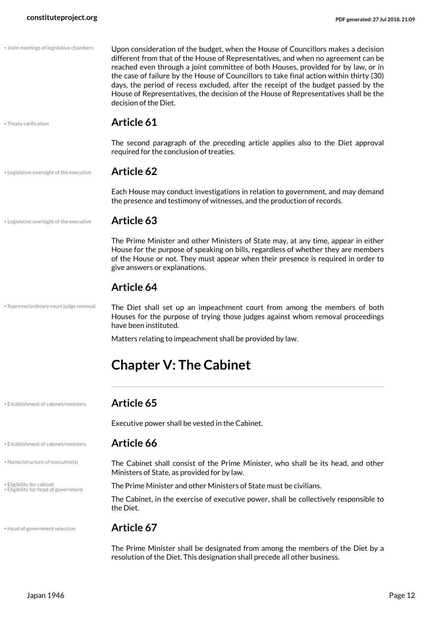<span id="page-11-9"></span><span id="page-11-8"></span><span id="page-11-7"></span><span id="page-11-6"></span><span id="page-11-5"></span><span id="page-11-4"></span><span id="page-11-3"></span><span id="page-11-2"></span><span id="page-11-1"></span><span id="page-11-0"></span>

| • Joint meetings of legislative chambers                          | Upon consideration of the budget, when the House of Councillors makes a decision<br>different from that of the House of Representatives, and when no agreement can be<br>reached even through a joint committee of both Houses, provided for by law, or in<br>the case of failure by the House of Councillors to take final action within thirty (30)<br>days, the period of recess excluded, after the receipt of the budget passed by the<br>House of Representatives, the decision of the House of Representatives shall be the<br>decision of the Diet. |
|-------------------------------------------------------------------|-------------------------------------------------------------------------------------------------------------------------------------------------------------------------------------------------------------------------------------------------------------------------------------------------------------------------------------------------------------------------------------------------------------------------------------------------------------------------------------------------------------------------------------------------------------|
| • Treaty ratification                                             | <b>Article 61</b>                                                                                                                                                                                                                                                                                                                                                                                                                                                                                                                                           |
|                                                                   | The second paragraph of the preceding article applies also to the Diet approval<br>required for the conclusion of treaties.                                                                                                                                                                                                                                                                                                                                                                                                                                 |
| . Legislative oversight of the executive                          | <b>Article 62</b>                                                                                                                                                                                                                                                                                                                                                                                                                                                                                                                                           |
|                                                                   | Each House may conduct investigations in relation to government, and may demand<br>the presence and testimony of witnesses, and the production of records.                                                                                                                                                                                                                                                                                                                                                                                                  |
| . Legislative oversight of the executive                          | Article 63                                                                                                                                                                                                                                                                                                                                                                                                                                                                                                                                                  |
|                                                                   | The Prime Minister and other Ministers of State may, at any time, appear in either<br>House for the purpose of speaking on bills, regardless of whether they are members<br>of the House or not. They must appear when their presence is required in order to<br>give answers or explanations.                                                                                                                                                                                                                                                              |
|                                                                   | <b>Article 64</b>                                                                                                                                                                                                                                                                                                                                                                                                                                                                                                                                           |
| • Supreme/ordinary court judge removal                            | The Diet shall set up an impeachment court from among the members of both<br>Houses for the purpose of trying those judges against whom removal proceedings<br>have been instituted.                                                                                                                                                                                                                                                                                                                                                                        |
|                                                                   | Matters relating to impeachment shall be provided by law.                                                                                                                                                                                                                                                                                                                                                                                                                                                                                                   |
|                                                                   | <b>Chapter V: The Cabinet</b>                                                                                                                                                                                                                                                                                                                                                                                                                                                                                                                               |
| • Establishment of cabinet/ministers                              | Article 65                                                                                                                                                                                                                                                                                                                                                                                                                                                                                                                                                  |
|                                                                   | Executive power shall be vested in the Cabinet.                                                                                                                                                                                                                                                                                                                                                                                                                                                                                                             |
| • Establishment of cabinet/ministers                              | Article 66                                                                                                                                                                                                                                                                                                                                                                                                                                                                                                                                                  |
| • Name/structure of executive(s)                                  | The Cabinet shall consist of the Prime Minister, who shall be its head, and other<br>Ministers of State, as provided for by law.                                                                                                                                                                                                                                                                                                                                                                                                                            |
| • Eligibility for cabinet<br>• Eligibility for head of government | The Prime Minister and other Ministers of State must be civilians.                                                                                                                                                                                                                                                                                                                                                                                                                                                                                          |
|                                                                   | The Cabinet, in the exercise of executive power, shall be collectively responsible to<br>the Diet.                                                                                                                                                                                                                                                                                                                                                                                                                                                          |
| • Head of government selection                                    | Article 67                                                                                                                                                                                                                                                                                                                                                                                                                                                                                                                                                  |
|                                                                   | The Prime Minister shall be designated from among the members of the Diet by a<br>resolution of the Diet. This designation shall precede all other business.                                                                                                                                                                                                                                                                                                                                                                                                |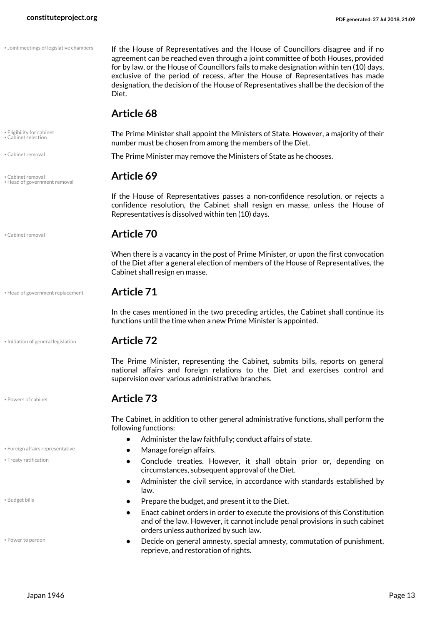• Joint meetings of legislative chambers

<span id="page-12-8"></span>If the House of Representatives and the House of Councillors disagree and if no agreement can be reached even through a joint committee of both Houses, provided for by law, or the House of Councillors fails to make designation within ten (10) days, exclusive of the period of recess, after the House of Representatives has made designation, the decision of the House of Representatives shall be the decision of the Diet.

#### **Article 68**

<span id="page-12-3"></span><span id="page-12-2"></span>The Prime Minister shall appoint the Ministers of State. However, a majority of their number must be chosen from among the members of the Diet.

The Prime Minister may remove the Ministers of State as he chooses. • Cabinet removal

<span id="page-12-5"></span>If the House of Representatives passes a non-confidence resolution, or rejects a confidence resolution, the Cabinet shall resign en masse, unless the House of Representatives is dissolved within ten (10) days.

#### <span id="page-12-1"></span>• Cabinet removal **Article 70**

When there is a vacancy in the post of Prime Minister, or upon the first convocation of the Diet after a general election of members of the House of Representatives, the Cabinet shall resign en masse.

#### • Head of government replacement **Article 71**

<span id="page-12-6"></span>In the cases mentioned in the two preceding articles, the Cabinet shall continue its functions until the time when a new Prime Minister is appointed.

• Initiation of general legislation **Article 72**

<span id="page-12-7"></span>The Prime Minister, representing the Cabinet, submits bills, reports on general national affairs and foreign relations to the Diet and exercises control and supervision over various administrative branches.

#### • Powers of cabinet **Article 73**

<span id="page-12-4"></span>The Cabinet, in addition to other general administrative functions, shall perform the following functions:

- **•** Administer the law faithfully; conduct affairs of state.
- Foreign affairs representative  **Manage foreign affairs.** 
	- **•** Conclude treaties. However, it shall obtain prior or, depending on circumstances, subsequent approval of the Diet.
	- **•** Administer the civil service, in accordance with standards established by law.
- Budget bills  **Prepare the budget, and present it to the Diet.** 
	- **•** Enact cabinet orders in order to execute the provisions of this Constitution and of the law. However, it cannot include penal provisions in such cabinet orders unless authorized by such law.
	- **•** Decide on general amnesty, special amnesty, commutation of punishment, reprieve, and restoration of rights.

• Eligibility for cabinet • Cabinet selection

• Cabinet removal **Article 69** • Head of government removal

<span id="page-12-10"></span>

<span id="page-12-11"></span>• Treaty ratification

<span id="page-12-0"></span>

<span id="page-12-9"></span>• Power to pardon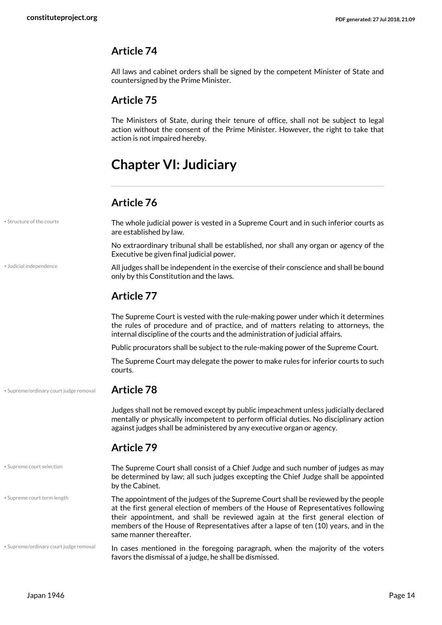All laws and cabinet orders shall be signed by the competent Minister of State and countersigned by the Prime Minister.

#### **Article 75**

The Ministers of State, during their tenure of office, shall not be subject to legal action without the consent of the Prime Minister. However, the right to take that action is not impaired hereby.

# <span id="page-13-0"></span>**Chapter VI: Judiciary**

#### <span id="page-13-2"></span>**Article 76**

<span id="page-13-5"></span><span id="page-13-4"></span><span id="page-13-3"></span><span id="page-13-1"></span>

| · Structure of the courts              | The whole judicial power is vested in a Supreme Court and in such inferior courts as<br>are established by law.                                                                                                                                                                                                                                                               |
|----------------------------------------|-------------------------------------------------------------------------------------------------------------------------------------------------------------------------------------------------------------------------------------------------------------------------------------------------------------------------------------------------------------------------------|
|                                        | No extraordinary tribunal shall be established, nor shall any organ or agency of the<br>Executive be given final judicial power.                                                                                                                                                                                                                                              |
| · Judicial independence                | All judges shall be independent in the exercise of their conscience and shall be bound<br>only by this Constitution and the laws.                                                                                                                                                                                                                                             |
|                                        | <b>Article 77</b>                                                                                                                                                                                                                                                                                                                                                             |
|                                        | The Supreme Court is vested with the rule-making power under which it determines<br>the rules of procedure and of practice, and of matters relating to attorneys, the<br>internal discipline of the courts and the administration of judicial affairs.                                                                                                                        |
|                                        | Public procurators shall be subject to the rule-making power of the Supreme Court.                                                                                                                                                                                                                                                                                            |
|                                        | The Supreme Court may delegate the power to make rules for inferior courts to such<br>courts.                                                                                                                                                                                                                                                                                 |
| · Supreme/ordinary court judge removal | <b>Article 78</b>                                                                                                                                                                                                                                                                                                                                                             |
|                                        | Judges shall not be removed except by public impeachment unless judicially declared<br>mentally or physically incompetent to perform official duties. No disciplinary action<br>against judges shall be administered by any executive organ or agency.                                                                                                                        |
|                                        | <b>Article 79</b>                                                                                                                                                                                                                                                                                                                                                             |
| · Supreme court selection              | The Supreme Court shall consist of a Chief Judge and such number of judges as may<br>be determined by law; all such judges excepting the Chief Judge shall be appointed<br>by the Cabinet.                                                                                                                                                                                    |
| · Supreme court term length            | The appointment of the judges of the Supreme Court shall be reviewed by the people<br>at the first general election of members of the House of Representatives following<br>their appointment, and shall be reviewed again at the first general election of<br>members of the House of Representatives after a lapse of ten (10) years, and in the<br>same manner thereafter. |
| · Supreme/ordinary court judge removal | In cases mentioned in the foregoing paragraph, when the majority of the voters<br>favors the dismissal of a judge, he shall be dismissed.                                                                                                                                                                                                                                     |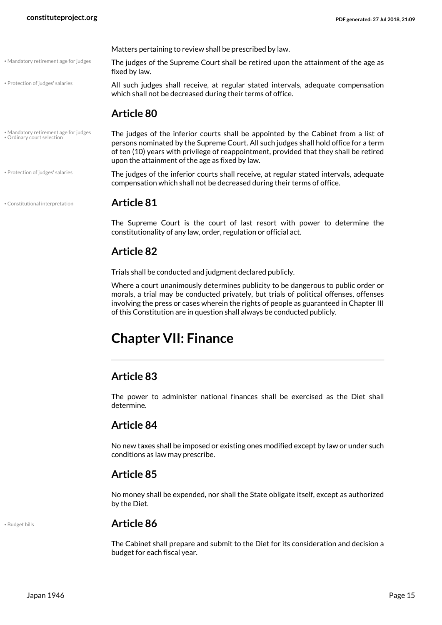• Mandatory retirement age for judges

• Protection of judges' salaries

• Protection of judges' salaries

Matters pertaining to review shall be prescribed by law.

The judges of the Supreme Court shall be retired upon the attainment of the age as fixed by law.

All such judges shall receive, at regular stated intervals, adequate compensation which shall not be decreased during their terms of office.

#### <span id="page-14-3"></span>**Article 80**

The judges of the inferior courts shall be appointed by the Cabinet from a list of persons nominated by the Supreme Court. All such judges shall hold office for a term of ten (10) years with privilege of reappointment, provided that they shall be retired upon the attainment of the age as fixed by law. • Mandatory retirement age for judges • Ordinary court selection

> <span id="page-14-5"></span><span id="page-14-4"></span><span id="page-14-2"></span>The judges of the inferior courts shall receive, at regular stated intervals, adequate compensation which shall not be decreased during their terms of office.

#### • Constitutional interpretation **Article 81**

The Supreme Court is the court of last resort with power to determine the constitutionality of any law, order, regulation or official act.

#### **Article 82**

Trials shall be conducted and judgment declared publicly.

Where a court unanimously determines publicity to be dangerous to public order or morals, a trial may be conducted privately, but trials of political offenses, offenses involving the press or cases wherein the rights of people as guaranteed in Chapter III of this Constitution are in question shall always be conducted publicly.

# <span id="page-14-0"></span>**Chapter VII: Finance**

#### **Article 83**

The power to administer national finances shall be exercised as the Diet shall determine.

#### **Article 84**

No new taxes shall be imposed or existing ones modified except by law or under such conditions as law may prescribe.

#### **Article 85**

No money shall be expended, nor shall the State obligate itself, except as authorized by the Diet.

#### <span id="page-14-1"></span>• Budget bills **Article 86**

The Cabinet shall prepare and submit to the Diet for its consideration and decision a budget for each fiscal year.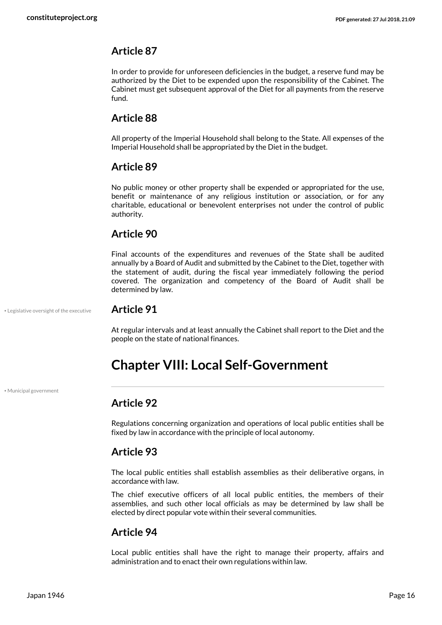In order to provide for unforeseen deficiencies in the budget, a reserve fund may be authorized by the Diet to be expended upon the responsibility of the Cabinet. The Cabinet must get subsequent approval of the Diet for all payments from the reserve fund.

### **Article 88**

All property of the Imperial Household shall belong to the State. All expenses of the Imperial Household shall be appropriated by the Diet in the budget.

### **Article 89**

No public money or other property shall be expended or appropriated for the use, benefit or maintenance of any religious institution or association, or for any charitable, educational or benevolent enterprises not under the control of public authority.

### **Article 90**

Final accounts of the expenditures and revenues of the State shall be audited annually by a Board of Audit and submitted by the Cabinet to the Diet, together with the statement of audit, during the fiscal year immediately following the period covered. The organization and competency of the Board of Audit shall be determined by law.

• Legislative oversight of the executive **Article 91**

<span id="page-15-1"></span>At regular intervals and at least annually the Cabinet shall report to the Diet and the people on the state of national finances.

# <span id="page-15-0"></span>**Chapter VIII: Local Self-Government**

• Municipal government

### <span id="page-15-2"></span>**Article 92**

Regulations concerning organization and operations of local public entities shall be fixed by law in accordance with the principle of local autonomy.

#### **Article 93**

The local public entities shall establish assemblies as their deliberative organs, in accordance with law.

The chief executive officers of all local public entities, the members of their assemblies, and such other local officials as may be determined by law shall be elected by direct popular vote within their several communities.

#### **Article 94**

Local public entities shall have the right to manage their property, affairs and administration and to enact their own regulations within law.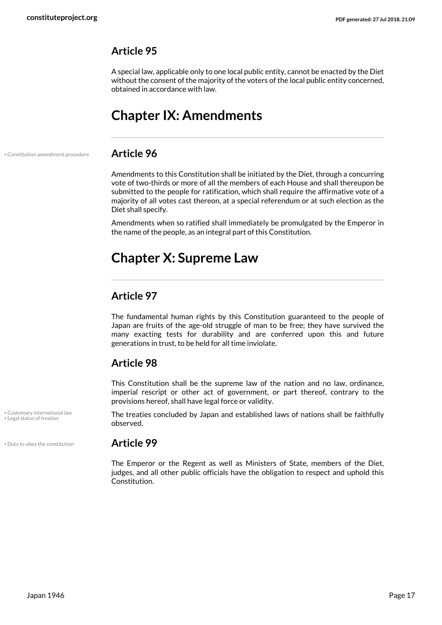A special law, applicable only to one local public entity, cannot be enacted by the Diet without the consent of the majority of the voters of the local public entity concerned, obtained in accordance with law.

# <span id="page-16-0"></span>**Chapter IX: Amendments**

• Constitution amendment procedure **Article 96**

<span id="page-16-2"></span>Amendments to this Constitution shall be initiated by the Diet, through a concurring vote of two-thirds or more of all the members of each House and shall thereupon be submitted to the people for ratification, which shall require the affirmative vote of a majority of all votes cast thereon, at a special referendum or at such election as the Diet shall specify.

Amendments when so ratified shall immediately be promulgated by the Emperor in the name of the people, as an integral part of this Constitution.

# <span id="page-16-1"></span>**Chapter X: Supreme Law**

### **Article 97**

The fundamental human rights by this Constitution guaranteed to the people of Japan are fruits of the age-old struggle of man to be free; they have survived the many exacting tests for durability and are conferred upon this and future generations in trust, to be held for all time inviolate.

### **Article 98**

This Constitution shall be the supreme law of the nation and no law, ordinance, imperial rescript or other act of government, or part thereof, contrary to the provisions hereof, shall have legal force or validity.

<span id="page-16-5"></span><span id="page-16-3"></span>The treaties concluded by Japan and established laws of nations shall be faithfully observed.

#### • Duty to obey the constitution **Article 99**

<span id="page-16-4"></span>The Emperor or the Regent as well as Ministers of State, members of the Diet, judges, and all other public officials have the obligation to respect and uphold this Constitution.

• Customary international law • Legal status of treaties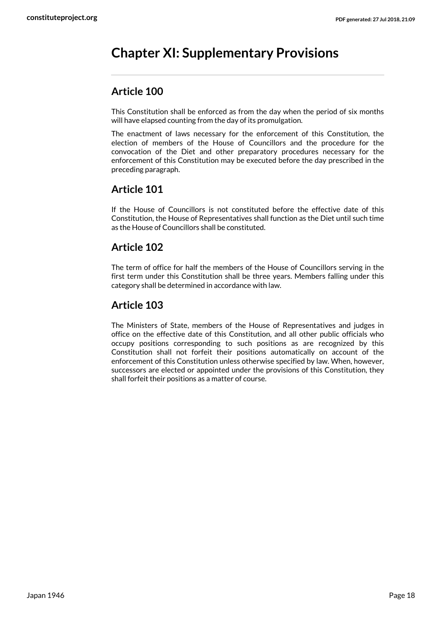# <span id="page-17-0"></span>**Chapter XI: Supplementary Provisions**

### **Article 100**

This Constitution shall be enforced as from the day when the period of six months will have elapsed counting from the day of its promulgation.

The enactment of laws necessary for the enforcement of this Constitution, the election of members of the House of Councillors and the procedure for the convocation of the Diet and other preparatory procedures necessary for the enforcement of this Constitution may be executed before the day prescribed in the preceding paragraph.

### **Article 101**

If the House of Councillors is not constituted before the effective date of this Constitution, the House of Representatives shall function as the Diet until such time as the House of Councillors shall be constituted.

### **Article 102**

The term of office for half the members of the House of Councillors serving in the first term under this Constitution shall be three years. Members falling under this category shall be determined in accordance with law.

### **Article 103**

The Ministers of State, members of the House of Representatives and judges in office on the effective date of this Constitution, and all other public officials who occupy positions corresponding to such positions as are recognized by this Constitution shall not forfeit their positions automatically on account of the enforcement of this Constitution unless otherwise specified by law. When, however, successors are elected or appointed under the provisions of this Constitution, they shall forfeit their positions as a matter of course.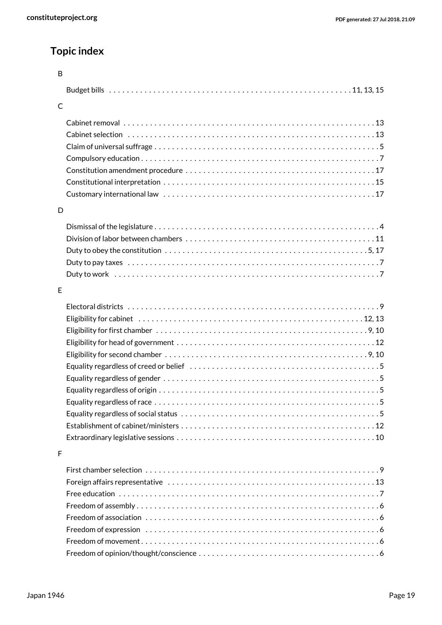# **Topic index**

| B |  |
|---|--|
|   |  |
| Ċ |  |
|   |  |
|   |  |
|   |  |
|   |  |
|   |  |
|   |  |
|   |  |
|   |  |
| D |  |
|   |  |
|   |  |
|   |  |
|   |  |
|   |  |
| E |  |
|   |  |
|   |  |
|   |  |
|   |  |
|   |  |
|   |  |
|   |  |
|   |  |
|   |  |
|   |  |
|   |  |
|   |  |
|   |  |
| F |  |
|   |  |
|   |  |
|   |  |
|   |  |
|   |  |
|   |  |
|   |  |
|   |  |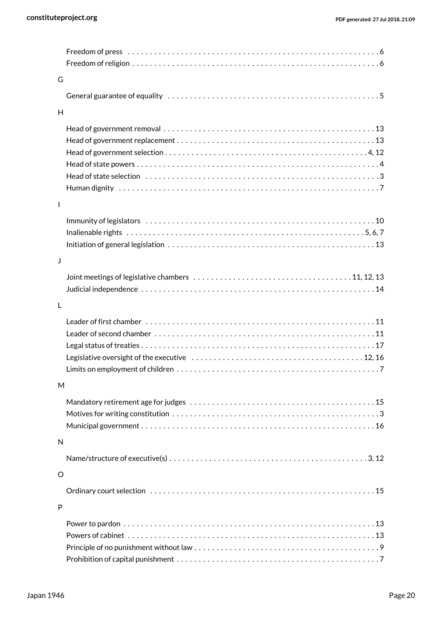| G              |                                                                                                                                     |
|----------------|-------------------------------------------------------------------------------------------------------------------------------------|
|                |                                                                                                                                     |
| H              |                                                                                                                                     |
|                |                                                                                                                                     |
|                |                                                                                                                                     |
|                |                                                                                                                                     |
|                |                                                                                                                                     |
|                |                                                                                                                                     |
|                |                                                                                                                                     |
| $\overline{1}$ |                                                                                                                                     |
|                |                                                                                                                                     |
|                | Inalienable rights $\dots\dots\dots\dots\dots\dots\dots\dots\dots\dots\dots\dots\dots\dots\dots\dots\dots$                          |
|                |                                                                                                                                     |
| J              |                                                                                                                                     |
|                | Joint meetings of legislative chambers $\ldots \ldots \ldots \ldots \ldots \ldots \ldots \ldots \ldots \ldots \ldots \ldots \ldots$ |
|                |                                                                                                                                     |
| L              |                                                                                                                                     |
|                |                                                                                                                                     |
|                |                                                                                                                                     |
|                |                                                                                                                                     |
|                |                                                                                                                                     |
|                |                                                                                                                                     |
| M              |                                                                                                                                     |
|                |                                                                                                                                     |
|                |                                                                                                                                     |
|                |                                                                                                                                     |
| N              |                                                                                                                                     |
|                |                                                                                                                                     |
| $\circ$        |                                                                                                                                     |
|                |                                                                                                                                     |
| P              |                                                                                                                                     |
|                |                                                                                                                                     |
|                |                                                                                                                                     |
|                |                                                                                                                                     |
|                |                                                                                                                                     |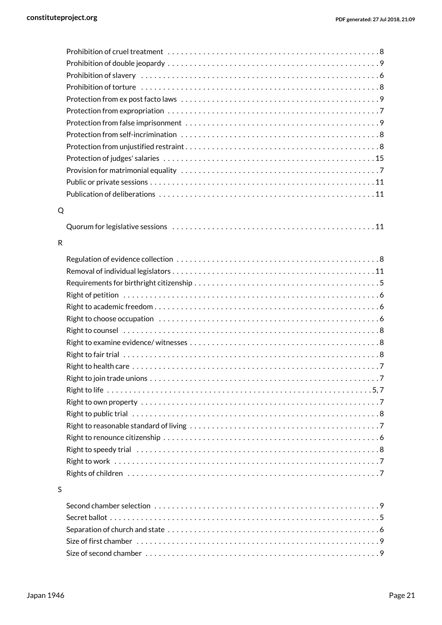| Q |  |
|---|--|
|   |  |
|   |  |
| R |  |
|   |  |
|   |  |
|   |  |
|   |  |
|   |  |
|   |  |
|   |  |
|   |  |
|   |  |
|   |  |
|   |  |
|   |  |
|   |  |
|   |  |
|   |  |
|   |  |
|   |  |
|   |  |
|   |  |
|   |  |
| S |  |
|   |  |

#### S

| Size of first chamber $\dots\dots\dots\dots\dots\dots\dots\dots\dots\dots\dots\dots\dots\dots\dots\dots$ |  |
|----------------------------------------------------------------------------------------------------------|--|
|                                                                                                          |  |